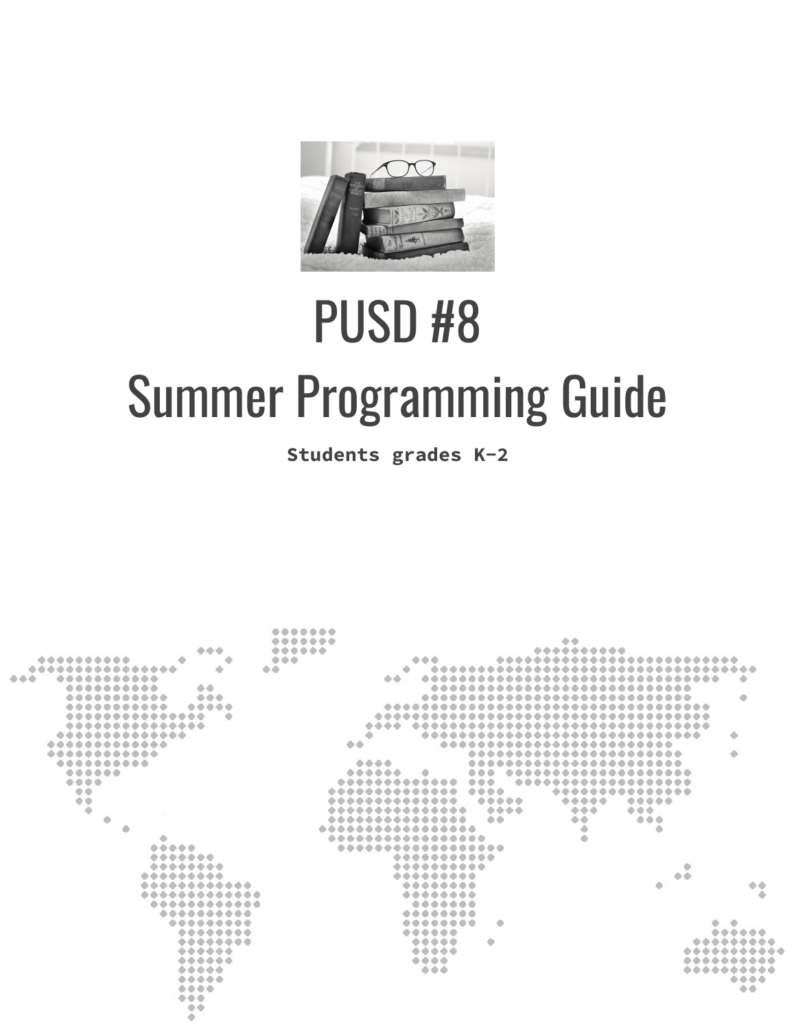

# PUSD #8 Summer Programming Guide

**Students grades K-2**

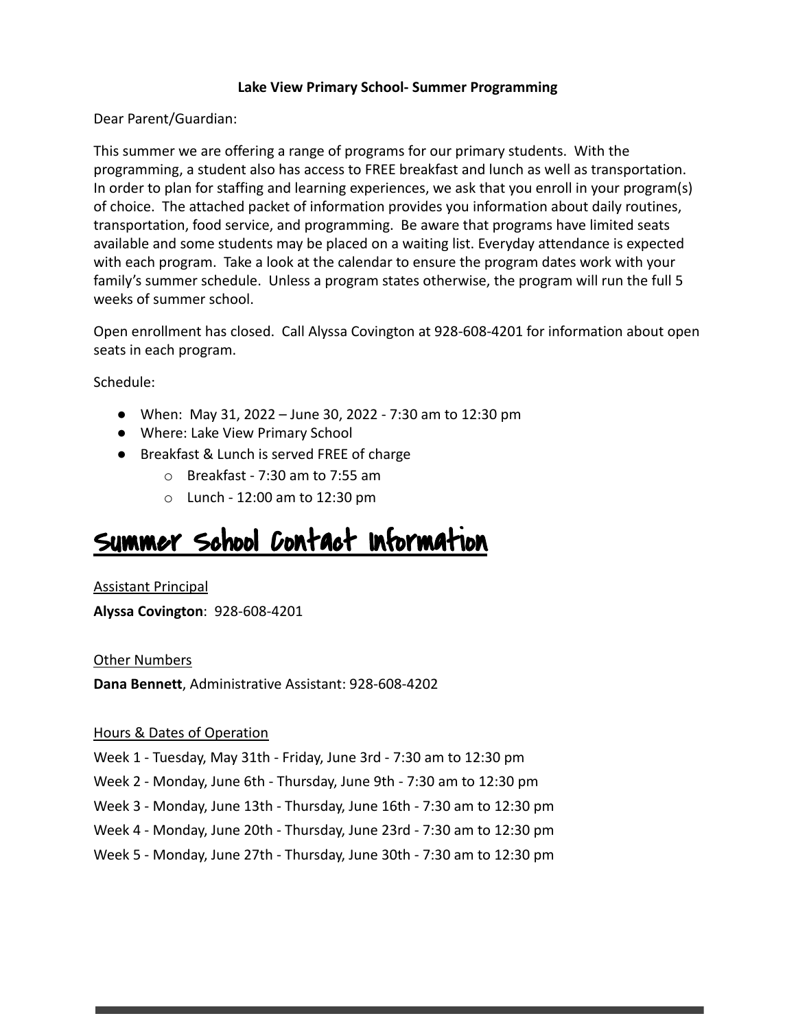#### **Lake View Primary School- Summer Programming**

Dear Parent/Guardian:

This summer we are offering a range of programs for our primary students. With the programming, a student also has access to FREE breakfast and lunch as well as transportation. In order to plan for staffing and learning experiences, we ask that you enroll in your program(s) of choice. The attached packet of information provides you information about daily routines, transportation, food service, and programming. Be aware that programs have limited seats available and some students may be placed on a waiting list. Everyday attendance is expected with each program. Take a look at the calendar to ensure the program dates work with your family's summer schedule. Unless a program states otherwise, the program will run the full 5 weeks of summer school.

Open enrollment has closed. Call Alyssa Covington at 928-608-4201 for information about open seats in each program.

Schedule:

- When: May 31, 2022 June 30, 2022 7:30 am to 12:30 pm
- Where: Lake View Primary School
- Breakfast & Lunch is served FREE of charge
	- o Breakfast 7:30 am to 7:55 am
	- o Lunch 12:00 am to 12:30 pm

# Summer School Contact Information

Assistant Principal

**Alyssa Covington**: 928-608-4201

#### Other Numbers

**Dana Bennett**, Administrative Assistant: 928-608-4202

#### Hours & Dates of Operation

Week 1 - Tuesday, May 31th - Friday, June 3rd - 7:30 am to 12:30 pm

- Week 2 Monday, June 6th Thursday, June 9th 7:30 am to 12:30 pm
- Week 3 Monday, June 13th Thursday, June 16th 7:30 am to 12:30 pm
- Week 4 Monday, June 20th Thursday, June 23rd 7:30 am to 12:30 pm
- Week 5 Monday, June 27th Thursday, June 30th 7:30 am to 12:30 pm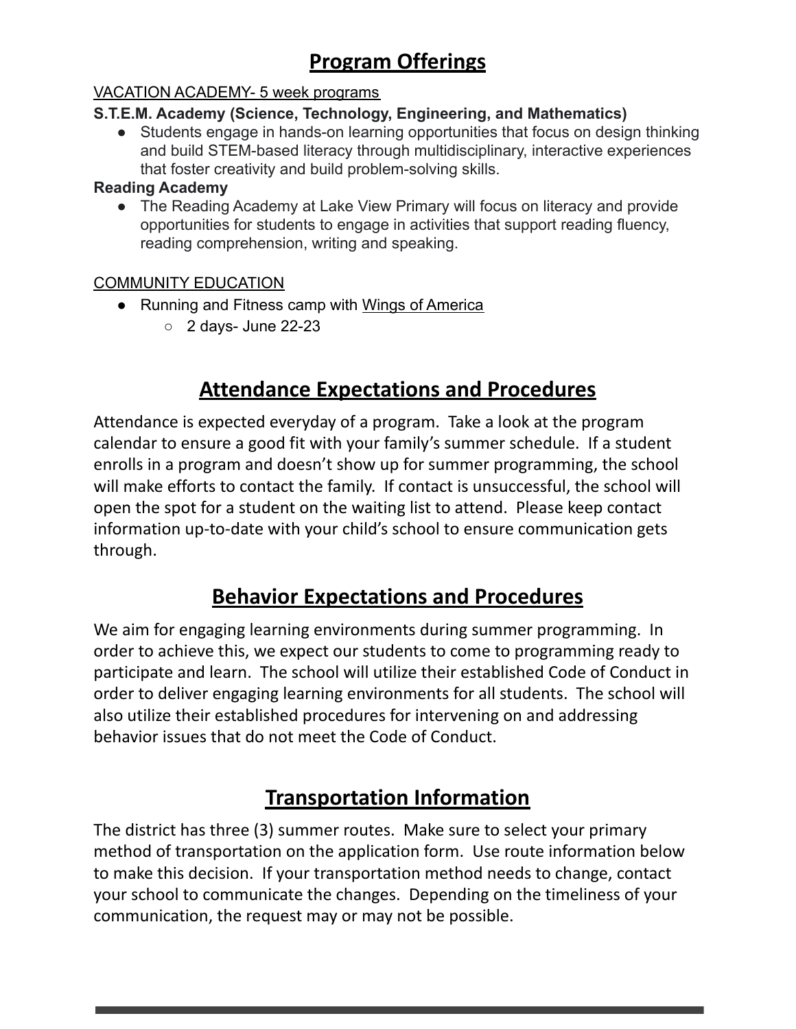## **Program Offerings**

#### VACATION ACADEMY- 5 week programs

#### **S.T.E.M. Academy (Science, Technology, Engineering, and Mathematics)**

● Students engage in hands-on learning opportunities that focus on design thinking and build STEM-based literacy through multidisciplinary, interactive experiences that foster creativity and build problem-solving skills.

#### **Reading Academy**

• The Reading Academy at Lake View Primary will focus on literacy and provide opportunities for students to engage in activities that support reading fluency, reading comprehension, writing and speaking.

#### COMMUNITY EDUCATION

- Running and Fitness camp with Wings of America
	- 2 days- June 22-23

## **Attendance Expectations and Procedures**

Attendance is expected everyday of a program. Take a look at the program calendar to ensure a good fit with your family's summer schedule. If a student enrolls in a program and doesn't show up for summer programming, the school will make efforts to contact the family. If contact is unsuccessful, the school will open the spot for a student on the waiting list to attend. Please keep contact information up-to-date with your child's school to ensure communication gets through.

## **Behavior Expectations and Procedures**

We aim for engaging learning environments during summer programming. In order to achieve this, we expect our students to come to programming ready to participate and learn. The school will utilize their established Code of Conduct in order to deliver engaging learning environments for all students. The school will also utilize their established procedures for intervening on and addressing behavior issues that do not meet the Code of Conduct.

## **Transportation Information**

The district has three (3) summer routes. Make sure to select your primary method of transportation on the application form. Use route information below to make this decision. If your transportation method needs to change, contact your school to communicate the changes. Depending on the timeliness of your communication, the request may or may not be possible.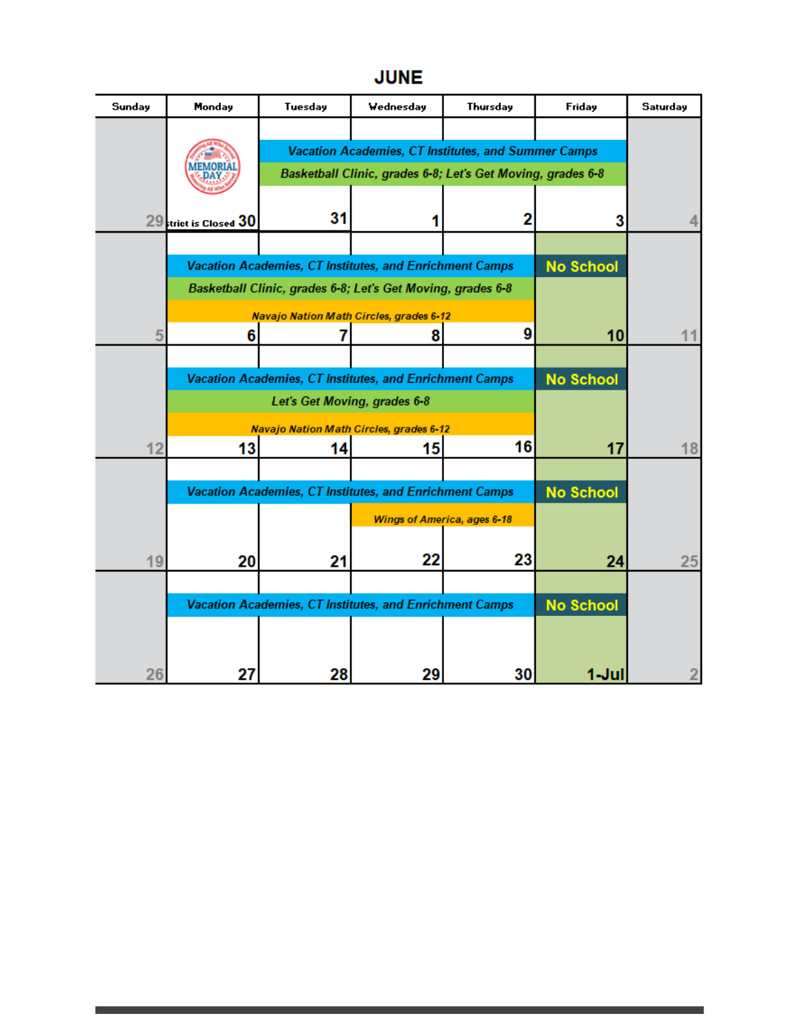## **JUNE**

| Sunday | Monday                                                                                  | Tuesday                                                     | Wednesday | Thursday | Friday           | Saturday |
|--------|-----------------------------------------------------------------------------------------|-------------------------------------------------------------|-----------|----------|------------------|----------|
|        |                                                                                         |                                                             |           |          |                  |          |
|        |                                                                                         | Vacation Academies, CT Institutes, and Summer Camps         |           |          |                  |          |
|        |                                                                                         | Basketball Clinic, grades 6-8; Let's Get Moving, grades 6-8 |           |          |                  |          |
|        |                                                                                         |                                                             |           |          |                  |          |
|        | 29 trict is Closed 30                                                                   | 31                                                          |           | 2        | 3                |          |
|        |                                                                                         |                                                             |           |          |                  |          |
|        | Vacation Academies, CT Institutes, and Enrichment Camps                                 |                                                             |           |          | <b>No School</b> |          |
|        | Basketball Clinic, grades 6-8; Let's Get Moving, grades 6-8                             |                                                             |           |          |                  |          |
|        |                                                                                         | <b>Navajo Nation Math Circles, grades 6-12</b>              |           |          |                  |          |
| 5      | 6                                                                                       |                                                             | 8         | 9        | 10               | 11       |
|        |                                                                                         |                                                             |           |          | <b>No School</b> |          |
|        | Vacation Academies, CT Institutes, and Enrichment Camps<br>Let's Get Moving, grades 6-8 |                                                             |           |          |                  |          |
|        | <b>Navajo Nation Math Circles, grades 6-12</b>                                          |                                                             |           |          |                  |          |
| 12     | 13                                                                                      | 14                                                          | 15        | 16       | 17               | 18       |
|        |                                                                                         |                                                             |           |          |                  |          |
|        | Vacation Academies, CT Institutes, and Enrichment Camps                                 |                                                             |           |          | <b>No School</b> |          |
|        | <b>Wings of America, ages 6-18</b>                                                      |                                                             |           |          |                  |          |
|        |                                                                                         |                                                             |           |          |                  |          |
| 19     | 20                                                                                      | 21                                                          | 22        | 23       | 24               | 25       |
|        |                                                                                         |                                                             |           |          |                  |          |
|        | Vacation Academies, CT Institutes, and Enrichment Camps                                 |                                                             |           |          | <b>No School</b> |          |
|        |                                                                                         |                                                             |           |          |                  |          |
|        |                                                                                         |                                                             |           |          |                  |          |
| 26     | 27                                                                                      | 28                                                          | 29        | 30       | 1-Jul            |          |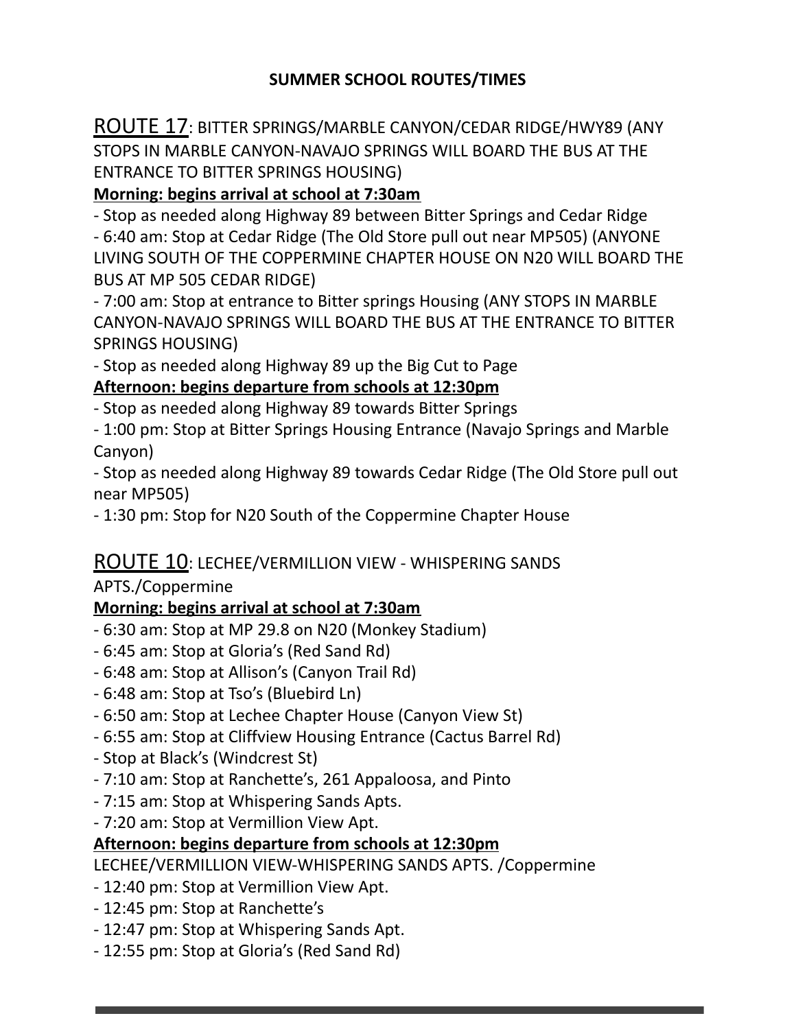#### **SUMMER SCHOOL ROUTES/TIMES**

ROUTE 17: BITTER SPRINGS/MARBLE CANYON/CEDAR RIDGE/HWY89 (ANY STOPS IN MARBLE CANYON-NAVAJO SPRINGS WILL BOARD THE BUS AT THE ENTRANCE TO BITTER SPRINGS HOUSING)

#### **Morning: begins arrival at school at 7:30am**

- Stop as needed along Highway 89 between Bitter Springs and Cedar Ridge - 6:40 am: Stop at Cedar Ridge (The Old Store pull out near MP505) (ANYONE LIVING SOUTH OF THE COPPERMINE CHAPTER HOUSE ON N20 WILL BOARD THE BUS AT MP 505 CEDAR RIDGE)

- 7:00 am: Stop at entrance to Bitter springs Housing (ANY STOPS IN MARBLE CANYON-NAVAJO SPRINGS WILL BOARD THE BUS AT THE ENTRANCE TO BITTER SPRINGS HOUSING)

- Stop as needed along Highway 89 up the Big Cut to Page

#### **Afternoon: begins departure from schools at 12:30pm**

- Stop as needed along Highway 89 towards Bitter Springs

- 1:00 pm: Stop at Bitter Springs Housing Entrance (Navajo Springs and Marble Canyon)

- Stop as needed along Highway 89 towards Cedar Ridge (The Old Store pull out near MP505)

- 1:30 pm: Stop for N20 South of the Coppermine Chapter House

#### ROUTE 10: LECHEE/VERMILLION VIEW - WHISPERING SANDS

#### APTS./Coppermine

#### **Morning: begins arrival at school at 7:30am**

- 6:30 am: Stop at MP 29.8 on N20 (Monkey Stadium)
- 6:45 am: Stop at Gloria's (Red Sand Rd)
- 6:48 am: Stop at Allison's (Canyon Trail Rd)
- 6:48 am: Stop at Tso's (Bluebird Ln)
- 6:50 am: Stop at Lechee Chapter House (Canyon View St)
- 6:55 am: Stop at Cliffview Housing Entrance (Cactus Barrel Rd)
- Stop at Black's (Windcrest St)
- 7:10 am: Stop at Ranchette's, 261 Appaloosa, and Pinto
- 7:15 am: Stop at Whispering Sands Apts.
- 7:20 am: Stop at Vermillion View Apt.

#### **Afternoon: begins departure from schools at 12:30pm**

LECHEE/VERMILLION VIEW-WHISPERING SANDS APTS. /Coppermine

- 12:40 pm: Stop at Vermillion View Apt.
- 12:45 pm: Stop at Ranchette's
- 12:47 pm: Stop at Whispering Sands Apt.
- 12:55 pm: Stop at Gloria's (Red Sand Rd)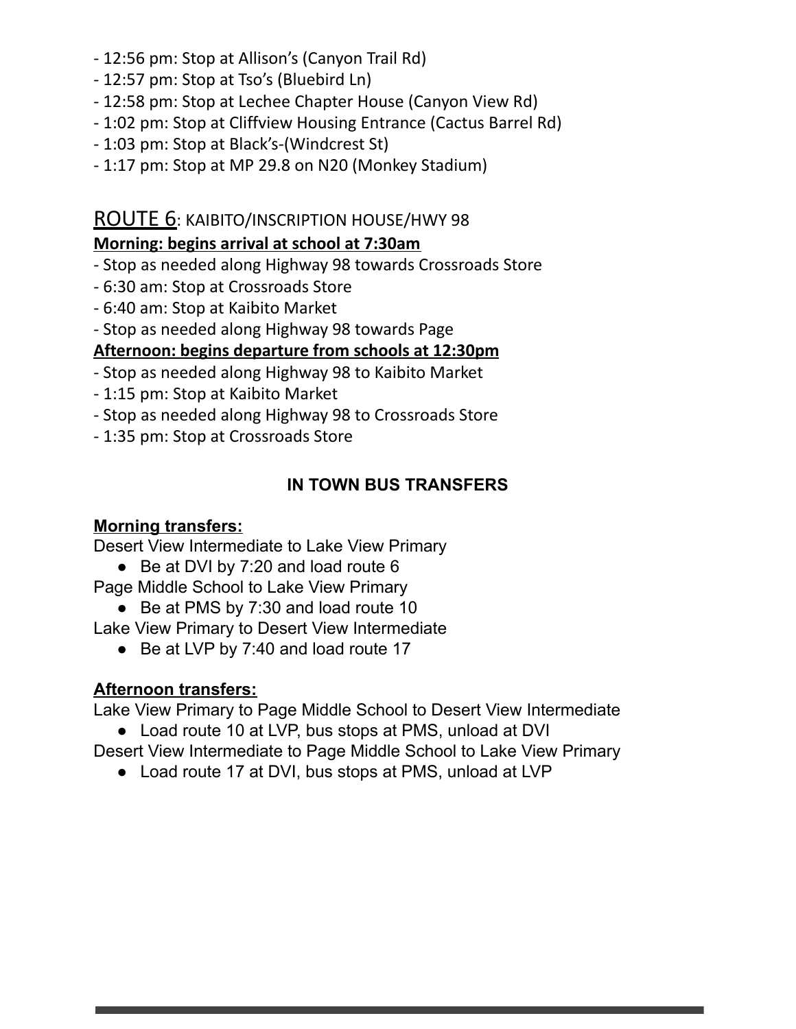- 12:56 pm: Stop at Allison's (Canyon Trail Rd)
- 12:57 pm: Stop at Tso's (Bluebird Ln)
- 12:58 pm: Stop at Lechee Chapter House (Canyon View Rd)
- 1:02 pm: Stop at Cliffview Housing Entrance (Cactus Barrel Rd)
- 1:03 pm: Stop at Black's-(Windcrest St)
- 1:17 pm: Stop at MP 29.8 on N20 (Monkey Stadium)

#### ROUTE 6: KAIBITO/INSCRIPTION HOUSE/HWY 98

#### **Morning: begins arrival at school at 7:30am**

- Stop as needed along Highway 98 towards Crossroads Store
- 6:30 am: Stop at Crossroads Store
- 6:40 am: Stop at Kaibito Market
- Stop as needed along Highway 98 towards Page

#### **Afternoon: begins departure from schools at 12:30pm**

- Stop as needed along Highway 98 to Kaibito Market
- 1:15 pm: Stop at Kaibito Market
- Stop as needed along Highway 98 to Crossroads Store
- 1:35 pm: Stop at Crossroads Store

### **IN TOWN BUS TRANSFERS**

#### **Morning transfers:**

Desert View Intermediate to Lake View Primary

● Be at DVI by 7:20 and load route 6

Page Middle School to Lake View Primary

● Be at PMS by 7:30 and load route 10

Lake View Primary to Desert View Intermediate

● Be at LVP by 7:40 and load route 17

#### **Afternoon transfers:**

Lake View Primary to Page Middle School to Desert View Intermediate

● Load route 10 at LVP, bus stops at PMS, unload at DVI

Desert View Intermediate to Page Middle School to Lake View Primary

● Load route 17 at DVI, bus stops at PMS, unload at LVP